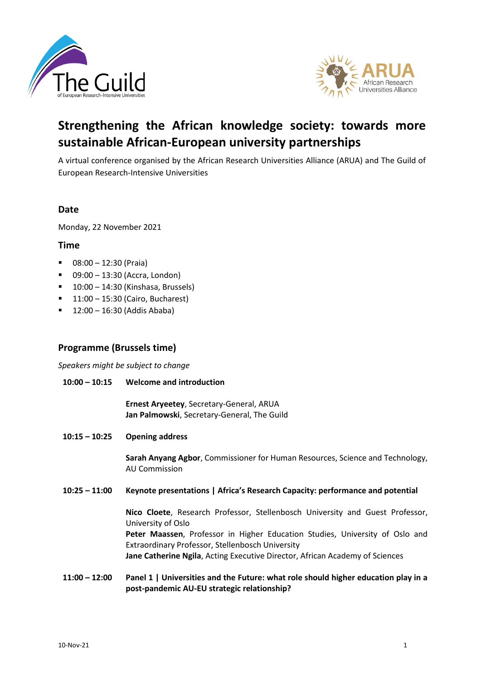



# **Strengthening the African knowledge society: towards more sustainable African-European university partnerships**

A virtual conference organised by the African Research Universities Alliance (ARUA) and The Guild of European Research-Intensive Universities

## **Date**

Monday, 22 November 2021

### **Time**

- $\blacksquare$  08:00 12:30 (Praia)
- $\blacksquare$  09:00 13:30 (Accra, London)
- $\blacksquare$  10:00 14:30 (Kinshasa, Brussels)
- 11:00 15:30 (Cairo, Bucharest)
- $\blacksquare$  12:00 16:30 (Addis Ababa)

## **Programme (Brussels time)**

*Speakers might be subject to change*

**10:00 – 10:15 Welcome and introduction**

> **Ernest Aryeetey**, Secretary-General, ARUA **Jan Palmowski**, Secretary-General, The Guild

**10:15 – 10:25 Opening address**

> **Sarah Anyang Agbor**, Commissioner for Human Resources, Science and Technology, AU Commission

**10:25 – 11:00 Keynote presentations | Africa's Research Capacity: performance and potential**

> **Nico Cloete**, Research Professor, Stellenbosch University and Guest Professor, University of Oslo **Peter Maassen**, Professor in Higher Education Studies, University of Oslo and Extraordinary Professor, Stellenbosch University **Jane Catherine Ngila**, Acting Executive Director, African Academy of Sciences

**11:00 – 12:00 Panel 1 | Universities and the Future: what role should higher education play in a post-pandemic AU-EU strategic relationship?**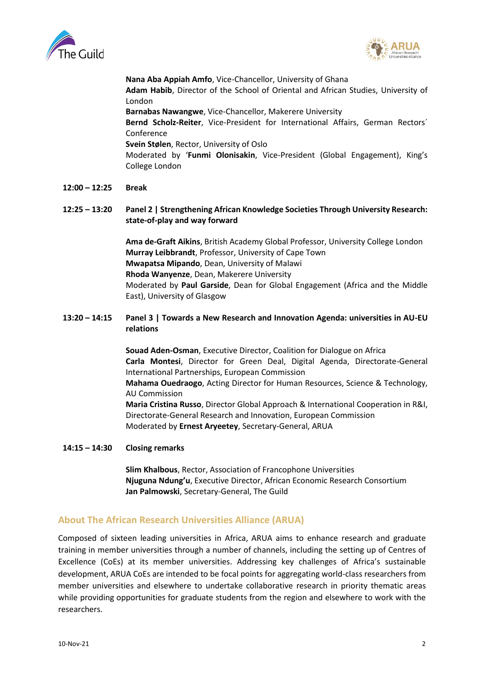



**Nana Aba Appiah Amfo**, Vice-Chancellor, University of Ghana **Adam Habib**, Director of the School of Oriental and African Studies, University of London **Barnabas Nawangwe**, Vice-Chancellor, Makerere University **Bernd Scholz-Reiter**, Vice-President for International Affairs, German Rectors´ Conference **Svein Stølen**, Rector, University of Oslo Moderated by '**Funmi Olonisakin**, Vice-President (Global Engagement), King's College London

#### **12:00 – 12:25 Break**

### **12:25 – 13:20 Panel 2 | Strengthening African Knowledge Societies Through University Research: state-of-play and way forward**

**Ama de-Graft Aikins**, British Academy Global Professor, University College London **Murray Leibbrandt**, Professor, University of Cape Town **Mwapatsa Mipando**, Dean, University of Malawi **Rhoda Wanyenze**, Dean, Makerere University Moderated by **Paul Garside**, Dean for Global Engagement (Africa and the Middle East), University of Glasgow

### **13:20 – 14:15 Panel 3 | Towards a New Research and Innovation Agenda: universities in AU-EU relations**

**Souad Aden-Osman**, Executive Director, Coalition for Dialogue on Africa **Carla Montesi**, Director for Green Deal, Digital Agenda, Directorate-General International Partnerships, European Commission **Mahama Ouedraogo**, Acting Director for Human Resources, Science & Technology, AU Commission **Maria Cristina Russo**, Director Global Approach & International Cooperation in R&I, Directorate-General Research and Innovation, European Commission Moderated by **Ernest Aryeetey**, Secretary-General, ARUA

#### **14:15 – 14:30 Closing remarks**

**Slim Khalbous**, Rector, Association of Francophone Universities **Njuguna Ndung'u**, Executive Director, African Economic Research Consortium **Jan Palmowski**, Secretary-General, The Guild

## **About The African Research Universities Alliance (ARUA)**

Composed of sixteen leading universities in Africa, ARUA aims to enhance research and graduate training in member universities through a number of channels, including the setting up of Centres of Excellence (CoEs) at its member universities. Addressing key challenges of Africa's sustainable development, ARUA CoEs are intended to be focal points for aggregating world-class researchers from member universities and elsewhere to undertake collaborative research in priority thematic areas while providing opportunities for graduate students from the region and elsewhere to work with the researchers.